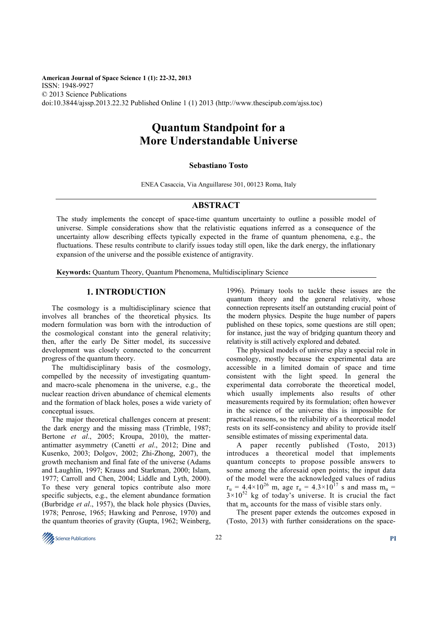**American Journal of Space Science 1 (1): 22-32, 2013**  ISSN: 1948-9927 © 2013 Science Publications doi:10.3844/ajssp.2013.22.32 Published Online 1 (1) 2013 (http://www.thescipub.com/ajss.toc)

# **Quantum Standpoint for a More Understandable Universe**

# **Sebastiano Tosto**

ENEA Casaccia, Via Anguillarese 301, 00123 Roma, Italy

# **ABSTRACT**

The study implements the concept of space-time quantum uncertainty to outline a possible model of universe. Simple considerations show that the relativistic equations inferred as a consequence of the uncertainty allow describing effects typically expected in the frame of quantum phenomena, e.g., the fluctuations. These results contribute to clarify issues today still open, like the dark energy, the inflationary expansion of the universe and the possible existence of antigravity.

**Keywords:** Quantum Theory, Quantum Phenomena, Multidisciplinary Science

# **1. INTRODUCTION**

The cosmology is a multidisciplinary science that involves all branches of the theoretical physics. Its modern formulation was born with the introduction of the cosmological constant into the general relativity; then, after the early De Sitter model, its successive development was closely connected to the concurrent progress of the quantum theory.

The multidisciplinary basis of the cosmology, compelled by the necessity of investigating quantumand macro-scale phenomena in the universe, e.g., the nuclear reaction driven abundance of chemical elements and the formation of black holes, poses a wide variety of conceptual issues.

The major theoretical challenges concern at present: the dark energy and the missing mass (Trimble, 1987; Bertone *et al*., 2005; Kroupa, 2010), the matterantimatter asymmetry (Canetti *et al*., 2012; Dine and Kusenko, 2003; Dolgov, 2002; Zhi-Zhong, 2007), the growth mechanism and final fate of the universe (Adams and Laughlin, 1997; Krauss and Starkman, 2000; Islam, 1977; Carroll and Chen, 2004; Liddle and Lyth, 2000). To these very general topics contribute also more specific subjects, e.g., the element abundance formation (Burbridge *et al*., 1957), the black hole physics (Davies, 1978; Penrose, 1965; Hawking and Penrose, 1970) and the quantum theories of gravity (Gupta, 1962; Weinberg,

1996). Primary tools to tackle these issues are the quantum theory and the general relativity, whose connection represents itself an outstanding crucial point of the modern physics. Despite the huge number of papers published on these topics, some questions are still open; for instance, just the way of bridging quantum theory and relativity is still actively explored and debated.

The physical models of universe play a special role in cosmology, mostly because the experimental data are accessible in a limited domain of space and time consistent with the light speed. In general the experimental data corroborate the theoretical model, which usually implements also results of other measurements required by its formulation; often however in the science of the universe this is impossible for practical reasons, so the reliability of a theoretical model rests on its self-consistency and ability to provide itself sensible estimates of missing experimental data.

A paper recently published (Tosto, 2013) introduces a theoretical model that implements quantum concepts to propose possible answers to some among the aforesaid open points; the input data of the model were the acknowledged values of radius  $r_u = 4.4 \times 10^{26}$  m, age  $r_u = 4.3 \times 10^{17}$  s and mass m<sub>u</sub> =  $3 \times 10^{52}$  kg of today's universe. It is crucial the fact that  $m_u$  accounts for the mass of visible stars only.

The present paper extends the outcomes exposed in (Tosto, 2013) with further considerations on the space-

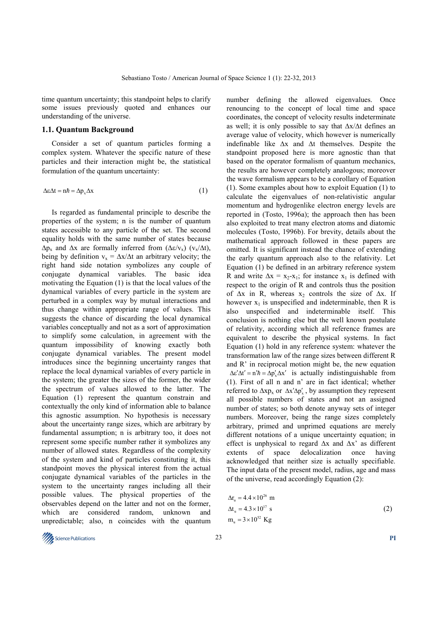time quantum uncertainty; this standpoint helps to clarify some issues previously quoted and enhances our understanding of the universe.

#### **1.1. Quantum Background**

Consider a set of quantum particles forming a complex system. Whatever the specific nature of these particles and their interaction might be, the statistical formulation of the quantum uncertainty:

$$
\Delta \varepsilon \Delta t = n\hbar = \Delta p_x \Delta x \tag{1}
$$

Is regarded as fundamental principle to describe the properties of the system; n is the number of quantum states accessible to any particle of the set. The second equality holds with the same number of states because  $\Delta p_x$  and  $\Delta x$  are formally inferred from ( $\Delta \varepsilon/v_x$ ) ( $v_x/\Delta t$ ), being by definition  $v_x = \Delta x / \Delta t$  an arbitrary velocity; the right hand side notation symbolizes any couple of conjugate dynamical variables. The basic idea motivating the Equation (1) is that the local values of the dynamical variables of every particle in the system are perturbed in a complex way by mutual interactions and thus change within appropriate range of values. This suggests the chance of discarding the local dynamical variables conceptually and not as a sort of approximation to simplify some calculation, in agreement with the quantum impossibility of knowing exactly both conjugate dynamical variables. The present model introduces since the beginning uncertainty ranges that replace the local dynamical variables of every particle in the system; the greater the sizes of the former, the wider the spectrum of values allowed to the latter. The Equation (1) represent the quantum constrain and contextually the only kind of information able to balance this agnostic assumption. No hypothesis is necessary about the uncertainty range sizes, which are arbitrary by fundamental assumption; n is arbitrary too, it does not represent some specific number rather it symbolizes any number of allowed states. Regardless of the complexity of the system and kind of particles constituting it, this standpoint moves the physical interest from the actual conjugate dynamical variables of the particles in the system to the uncertainty ranges including all their possible values. The physical properties of the observables depend on the latter and not on the former, which are considered random, unknown and unpredictable; also, n coincides with the quantum

number defining the allowed eigenvalues. Once renouncing to the concept of local time and space coordinates, the concept of velocity results indeterminate as well; it is only possible to say that ∆x/∆t defines an average value of velocity, which however is numerically indefinable like ∆x and ∆t themselves. Despite the standpoint proposed here is more agnostic than that based on the operator formalism of quantum mechanics, the results are however completely analogous; moreover the wave formalism appears to be a corollary of Equation (1). Some examples about how to exploit Equation (1) to calculate the eigenvalues of non-relativistic angular momentum and hydrogenlike electron energy levels are reported in (Tosto, 1996a); the approach then has been also exploited to treat many electron atoms and diatomic molecules (Tosto, 1996b). For brevity, details about the mathematical approach followed in these papers are omitted. It is significant instead the chance of extending the early quantum approach also to the relativity. Let Equation (1) be defined in an arbitrary reference system R and write  $\Delta x = x_2 - x_1$ ; for instance  $x_1$  is defined with respect to the origin of R and controls thus the position of  $\Delta x$  in R, whereas x<sub>2</sub> controls the size of  $\Delta x$ . If however  $x_1$  is unspecified and indeterminable, then R is also unspecified and indeterminable itself. This conclusion is nothing else but the well known postulate of relativity, according which all reference frames are equivalent to describe the physical systems. In fact Equation (1) hold in any reference system: whatever the transformation law of the range sizes between different R and R' in reciprocal motion might be, the new equation  $\Delta \varepsilon' \Delta t' = n'h = \Delta p'_{x} \Delta x'$  is actually indistinguishable from (1). First of all n and n' are in fact identical; whether referred to  $\Delta x p_x$  or  $\Delta x' \Delta p'_x$ , by assumption they represent all possible numbers of states and not an assigned number of states; so both denote anyway sets of integer numbers. Moreover, being the range sizes completely arbitrary, primed and unprimed equations are merely different notations of a unique uncertainty equation; in effect is unphysical to regard ∆x and ∆x' as different extents of space delocalization once having acknowledged that neither size is actually specifiable. The input data of the present model, radius, age and mass of the universe, read accordingly Equation (2):

$$
\Delta r_u = 4.4 \times 10^{26} \text{ m}
$$
  
\n
$$
\Delta t_u = 4.3 \times 10^{17} \text{ s}
$$
  
\n
$$
m_u = 3 \times 10^{52} \text{ kg}
$$
 (2)

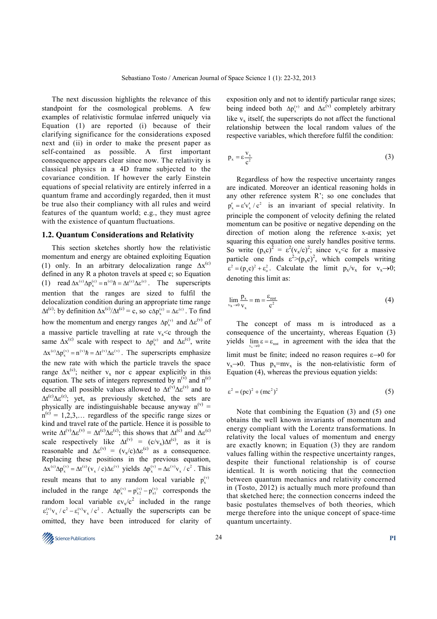The next discussion highlights the relevance of this standpoint for the cosmological problems. A few examples of relativistic formulae inferred uniquely via Equation (1) are reported (i) because of their clarifying significance for the considerations exposed next and (ii) in order to make the present paper as self-contained as possible. A first important consequence appears clear since now. The relativity is classical physics in a 4D frame subjected to the covariance condition. If however the early Einstein equations of special relativity are entirely inferred in a quantum frame and accordingly regarded, then it must be true also their compliancy with all rules and weird features of the quantum world; e.g., they must agree with the existence of quantum fluctuations.

#### **1.2. Quantum Considerations and Relativity**

This section sketches shortly how the relativistic momentum and energy are obtained exploiting Equation (1) only. In an arbitrary delocalization range  $\Delta x^{(c)}$ defined in any R a photon travels at speed c; so Equation (1) read  $\Delta x^{(c)} \Delta p_x^{(c)} = n^{(c)} \hbar = \Delta t^{(c)} \Delta \varepsilon^{(c)}$ . The superscripts mention that the ranges are sized to fulfil the delocalization condition during an appropriate time range  $\Delta t^{(c)}$ : by definition  $\Delta x^{(c)}/\Delta t^{(c)} = c$ , so  $c\Delta p_x^{(c)} = \Delta \varepsilon^{(c)}$ . To find how the momentum and energy ranges  $\Delta p_x^{(v)}$  and  $\Delta \varepsilon^{(v)}$  of a massive particle travelling at rate  $v<sub>x</sub> < c$  through the same  $\Delta x^{(c)}$  scale with respect to  $\Delta p_x^{(c)}$  and  $\Delta \varepsilon^{(c)}$ , write  $\Delta x^{(c)} \Delta p_x^{(v)} = n^{(v)} \hbar = \Delta t^{(v)} \Delta \varepsilon^{(v)}$ . The superscripts emphasize the new rate with which the particle travels the space range  $\Delta x^{(c)}$ ; neither v<sub>x</sub> nor c appear explicitly in this equation. The sets of integers represented by  $n^{(v)}$  and  $n^{(c)}$ describe all possible values allowed to  $\Delta t^{(v)} \Delta \varepsilon^{(v)}$  and to  $\Delta t^{(c)} \Delta \varepsilon^{(c)}$ ; yet, as previously sketched, the sets are physically are indistinguishable because anyway  $n^{(v)} =$  $n^{(c)} = 1, 2, 3, \dots$  regardless of the specific range sizes or kind and travel rate of the particle. Hence it is possible to write  $\Delta t^{(v)} \Delta \varepsilon^{(v)} = \Delta t^{(c)} \Delta \varepsilon^{(c)}$ ; this shows that  $\Delta t^{(c)}$  and  $\Delta \varepsilon^{(c)}$ scale respectively like  $\Delta t^{(v)} = (c/v_x)\Delta t^{(c)}$ , as it is reasonable and  $\Delta \varepsilon^{(v)} = (v_x/c) \Delta \varepsilon^{(c)}$  as a consequence. Replacing these positions in the previous equation,  $\Delta x^{(c)} \Delta p_x^{(v)} = \Delta t^{(c)} (v_x / c) \Delta \epsilon^{(v)}$  yields  $\Delta p_x^{(v)} = \Delta \epsilon^{(v)} v_x / c^2$ . This result means that to any random local variable  $p_x^{(v)}$ included in the range  $\Delta p_x^{(v)} = p_{x2}^{(v)} - p_{x1}^{(v)}$  corresponds the random local variable  $\epsilon v_x/c^2$  included in the range  $\epsilon_2^{(v)} v_x / c^2 - \epsilon_1^{(v)} v_x / c^2$ . Actually the superscripts can be omitted, they have been introduced for clarity of

exposition only and not to identify particular range sizes; being indeed both  $\Delta p_x^{(v)}$  and  $\Delta \varepsilon^{(v)}$  completely arbitrary like  $v_x$  itself, the superscripts do not affect the functional relationship between the local random values of the respective variables, which therefore fulfil the condition:

$$
p_x = \varepsilon \frac{V_x}{c^2} \tag{3}
$$

Regardless of how the respective uncertainty ranges are indicated. Moreover an identical reasoning holds in any other reference system R'; so one concludes that  $p'_x = \varepsilon' v'_x / c^2$  is an invariant of special relativity. In principle the component of velocity defining the related momentum can be positive or negative depending on the direction of motion along the reference x-axis; yet squaring this equation one surely handles positive terms. So write  $(p_x c)^2 = \varepsilon^2 (v_x/c)^2$ ; since  $v_x < c$  for a massive particle one finds  $\epsilon^2 > (p_x c)^2$ , which compels writing  $\epsilon^2 = (p_x c)^2 + \epsilon_0^2$ . Calculate the limit  $p_x/v_x$  for  $v_x \rightarrow 0$ ; denoting this limit as:

$$
\lim_{\mathbf{v}_x \to 0} \frac{\mathbf{p}_x}{\mathbf{v}_x} = \mathbf{m} = \frac{\varepsilon_{\text{rest}}}{c^2}
$$
 (4)

The concept of mass m is introduced as a consequence of the uncertainty, whereas Equation (3) yields  $\lim_{v_x \to 0} \varepsilon = \varepsilon_{\text{rest}}$  in agreement with the idea that the x limit must be finite; indeed no reason requires  $\varepsilon \rightarrow 0$  for  $v_x \rightarrow 0$ . Thus  $p_x = mv_x$  is the non-relativistic form of Equation (4), whereas the previous equation yields:

$$
\varepsilon^2 = (pc)^2 + (mc^2)^2 \tag{5}
$$

Note that combining the Equation (3) and (5) one obtains the well known invariants of momentum and energy compliant with the Lorentz transformations. In relativity the local values of momentum and energy are exactly known; in Equation (3) they are random values falling within the respective uncertainty ranges, despite their functional relationship is of course identical. It is worth noticing that the connection between quantum mechanics and relativity concerned in (Tosto, 2012) is actually much more profound than that sketched here; the connection concerns indeed the basic postulates themselves of both theories, which merge therefore into the unique concept of space-time quantum uncertainty.

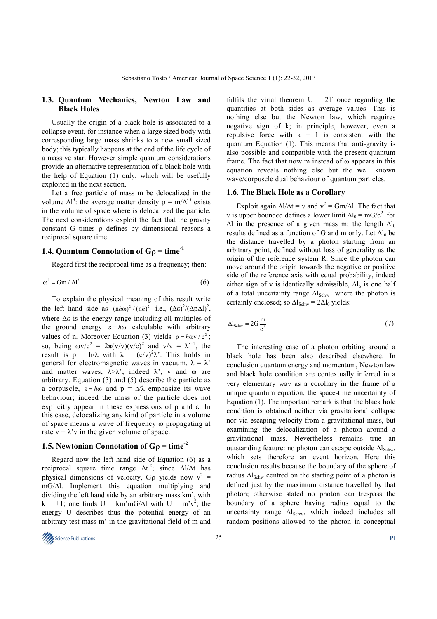# **1.3. Quantum Mechanics, Newton Law and Black Holes**

Usually the origin of a black hole is associated to a collapse event, for instance when a large sized body with corresponding large mass shrinks to a new small sized body; this typically happens at the end of the life cycle of a massive star. However simple quantum considerations provide an alternative representation of a black hole with the help of Equation (1) only, which will be usefully exploited in the next section.

Let a free particle of mass m be delocalized in the volume  $\Delta l^3$ : the average matter density  $\rho = m/\Delta l^3$  exists in the volume of space where is delocalized the particle. The next considerations exploit the fact that the gravity constant G times ρ defines by dimensional reasons a reciprocal square time.

# **1.4. Quantum Connotation of G**ρ **= time-2**

Regard first the reciprocal time as a frequency; then:

$$
\omega^2 = \text{Gm} / \Delta l^3 \tag{6}
$$

To explain the physical meaning of this result write the left hand side as  $(n \hbar \omega)^2 / (n \hbar)^2$  i.e.,  $(\Delta \varepsilon)^2 / (\Delta p \Delta l)^2$ , where ∆ε is the energy range including all multiples of the ground energy  $\varepsilon = \hbar \omega$  calculable with arbitrary values of n. Moreover Equation (3) yields  $p = \hbar \omega v / c^2$ ; so, being  $\omega v/c^2 = 2\pi (v/v)(v/c)^2$  and  $v/v = \lambda^{v-1}$ , the result is  $p = h/\lambda$  with  $\lambda = (c/v)^2 \lambda'$ . This holds in general for electromagnetic waves in vacuum,  $\lambda = \lambda$ <sup>7</sup> and matter waves,  $\lambda > \lambda'$ ; indeed  $\lambda'$ , v and  $\omega$  are arbitrary. Equation (3) and (5) describe the particle as a corpuscle,  $\varepsilon = \hbar \omega$  and  $p = h/\lambda$  emphasize its wave behaviour; indeed the mass of the particle does not explicitly appear in these expressions of p and ε. In this case, delocalizing any kind of particle in a volume of space means a wave of frequency ω propagating at rate  $v = \lambda'v$  in the given volume of space.

# **1.5. Newtonian Connotation of G**ρ **= time-2**

Regard now the left hand side of Equation (6) as a reciprocal square time range  $\Delta t^2$ ; since  $\Delta l/\Delta t$  has physical dimensions of velocity, G<sub>p</sub> yields now  $v^2 =$ mG/∆l. Implement this equation multiplying and dividing the left hand side by an arbitrary mass km', with  $k = \pm 1$ ; one finds  $U = km'mG/\Delta l$  with  $U = m'v^2$ ; the energy U describes thus the potential energy of an arbitrary test mass m' in the gravitational field of m and

fulfils the virial theorem  $U = 2T$  once regarding the quantities at both sides as average values. This is nothing else but the Newton law, which requires negative sign of k; in principle, however, even a repulsive force with  $k = 1$  is consistent with the quantum Equation (1). This means that anti-gravity is also possible and compatible with the present quantum frame. The fact that now m instead of  $\omega$  appears in this equation reveals nothing else but the well known wave/corpuscle dual behaviour of quantum particles.

#### **1.6. The Black Hole as a Corollary**

Exploit again  $\Delta l/\Delta t = v$  and  $v^2 = Gm/\Delta l$ . The fact that v is upper bounded defines a lower limit  $\Delta l_0 = mG/c^2$  for  $\Delta l$  in the presence of a given mass m; the length  $\Delta l_0$ results defined as a function of G and m only. Let  $\Delta l_0$  be the distance travelled by a photon starting from an arbitrary point, defined without loss of generality as the origin of the reference system R. Since the photon can move around the origin towards the negative or positive side of the reference axis with equal probability, indeed either sign of v is identically admissible,  $\Delta l_0$  is one half of a total uncertainty range  $\Delta l_{Schw}$  where the photon is certainly enclosed; so  $\Delta l_{Schw} = 2\Delta l_0$  yields:

$$
\Delta l_{\rm Schw} = 2G \frac{m}{c^2} \tag{7}
$$

The interesting case of a photon orbiting around a black hole has been also described elsewhere. In conclusion quantum energy and momentum, Newton law and black hole condition are contextually inferred in a very elementary way as a corollary in the frame of a unique quantum equation, the space-time uncertainty of Equation (1). The important remark is that the black hole condition is obtained neither via gravitational collapse nor via escaping velocity from a gravitational mass, but examining the delocalization of a photon around a gravitational mass. Nevertheless remains true an outstanding feature: no photon can escape outside  $\Delta l_{Schw}$ , which sets therefore an event horizon. Here this conclusion results because the boundary of the sphere of radius  $\Delta l_{Schw}$  centred on the starting point of a photon is defined just by the maximum distance travelled by that photon; otherwise stated no photon can trespass the boundary of a sphere having radius equal to the uncertainty range  $\Delta l_{Schw}$ , which indeed includes all random positions allowed to the photon in conceptual

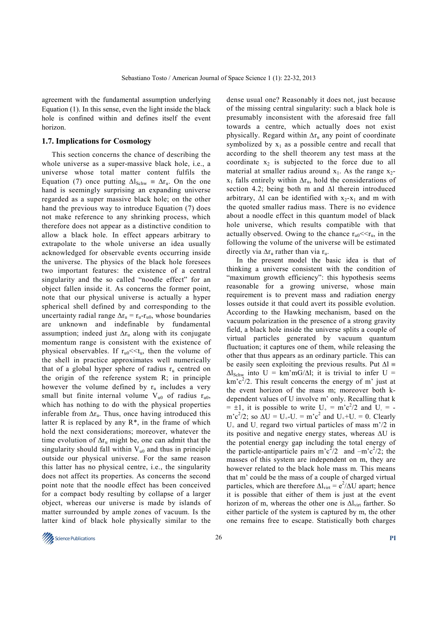agreement with the fundamental assumption underlying Equation (1). In this sense, even the light inside the black hole is confined within and defines itself the event horizon.

#### **1.7. Implications for Cosmology**

This section concerns the chance of describing the whole universe as a super-massive black hole, i.e., a universe whose total matter content fulfils the Equation (7) once putting  $\Delta l_{Schw} = \Delta r_u$ . On the one hand is seemingly surprising an expanding universe regarded as a super massive black hole; on the other hand the previous way to introduce Equation (7) does not make reference to any shrinking process, which therefore does not appear as a distinctive condition to allow a black hole. In effect appears arbitrary to extrapolate to the whole universe an idea usually acknowledged for observable events occurring inside the universe. The physics of the black hole foresees two important features: the existence of a central singularity and the so called "noodle effect" for an object fallen inside it. As concerns the former point, note that our physical universe is actually a hyper spherical shell defined by and corresponding to the uncertainty radial range  $\Delta r_u = r_u - r_{u0}$ , whose boundaries are unknown and indefinable by fundamental assumption; indeed just  $\Delta r_u$  along with its conjugate momentum range is consistent with the existence of physical observables. If  $r_{u0} \ll t_u$ , then the volume of the shell in practice approximates well numerically that of a global hyper sphere of radius  $r_u$  centred on the origin of the reference system R; in principle however the volume defined by  $r_u$  includes a very small but finite internal volume  $V_{u0}$  of radius  $r_{u0}$ , which has nothing to do with the physical properties inferable from  $\Delta r_u$ . Thus, once having introduced this latter R is replaced by any  $R^*$ , in the frame of which hold the next considerations; moreover, whatever the time evolution of  $\Delta r_u$  might be, one can admit that the singularity should fall within  $V_{u0}$  and thus in principle outside our physical universe. For the same reason this latter has no physical centre, i.e., the singularity does not affect its properties. As concerns the second point note that the noodle effect has been conceived for a compact body resulting by collapse of a larger object, whereas our universe is made by islands of matter surrounded by ample zones of vacuum. Is the latter kind of black hole physically similar to the

dense usual one? Reasonably it does not, just because of the missing central singularity: such a black hole is presumably inconsistent with the aforesaid free fall towards a centre, which actually does not exist physically. Regard within  $\Delta r_u$  any point of coordinate symbolized by  $x_1$  as a possible centre and recall that according to the shell theorem any test mass at the coordinate  $x_2$  is subjected to the force due to all material at smaller radius around  $x_1$ . As the range  $x_2$  $x_1$  falls entirely within  $\Delta r_u$ , hold the considerations of section 4.2; being both m and ∆l therein introduced arbitrary,  $\Delta l$  can be identified with x<sub>2</sub>-x<sub>1</sub> and m with the quoted smaller radius mass. There is no evidence about a noodle effect in this quantum model of black hole universe, which results compatible with that actually observed. Owing to the chance  $r_{u0} \ll r_{u}$ , in the following the volume of the universe will be estimated directly via  $\Delta r_u$  rather than via r<sub>u</sub>.

In the present model the basic idea is that of thinking a universe consistent with the condition of "maximum growth efficiency": this hypothesis seems reasonable for a growing universe, whose main requirement is to prevent mass and radiation energy losses outside it that could avert its possible evolution. According to the Hawking mechanism, based on the vacuum polarization in the presence of a strong gravity field, a black hole inside the universe splits a couple of virtual particles generated by vacuum quantum fluctuation; it captures one of them, while releasing the other that thus appears as an ordinary particle. This can be easily seen exploiting the previous results. Put  $\Delta l$  =  $\Delta l_{Schw}$  into U = km'mG/ $\Delta l$ ; it is trivial to infer U =  $km'c^2/2$ . This result concerns the energy of m' just at the event horizon of the mass m; moreover both kdependent values of U involve m' only. Recalling that k  $= \pm 1$ , it is possible to write  $U_+ = m'c^2/2$  and  $U_- =$ m'c<sup>2</sup>/2; so  $\Delta U = U_{+}$ -U<sub>-</sub> = m'c<sup>2</sup> and U<sub>+</sub>+U<sub>-</sub> = 0. Clearly  $U_{+}$  and  $U_{-}$  regard two virtual particles of mass m'/2 in its positive and negative energy states, whereas ∆U is the potential energy gap including the total energy of the particle-antiparticle pairs m'c<sup>2</sup>/2 and  $-m'c^2/2$ ; the masses of this system are independent on m, they are however related to the black hole mass m. This means that m' could be the mass of a couple of charged virtual particles, which are therefore  $\Delta l_{\text{virt}} = e^2/\Delta U$  apart; hence it is possible that either of them is just at the event horizon of m, whereas the other one is  $\Delta l_{virt}$  farther. So either particle of the system is captured by m, the other one remains free to escape. Statistically both charges

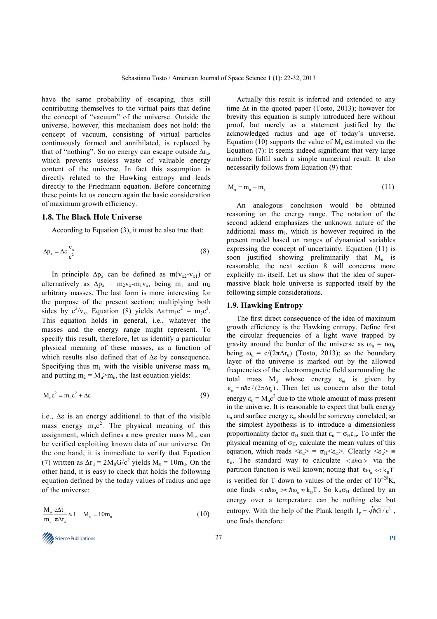have the same probability of escaping, thus still contributing themselves to the virtual pairs that define the concept of "vacuum" of the universe. Outside the universe, however, this mechanism does not hold: the concept of vacuum, consisting of virtual particles continuously formed and annihilated, is replaced by that of "nothing". So no energy can escape outside  $\Delta r_{\text{u}}$ , which prevents useless waste of valuable energy content of the universe. In fact this assumption is directly related to the Hawking entropy and leads directly to the Friedmann equation. Before concerning these points let us concern again the basic consideration of maximum growth efficiency.

#### **1.8. The Black Hole Universe**

According to Equation (3), it must be also true that:

$$
\Delta p_x = \Delta \varepsilon \frac{v_x}{c^2} \tag{8}
$$

In principle  $\Delta p_x$  can be defined as m(v<sub>x2</sub>-v<sub>x1</sub>) or alternatively as  $\Delta p_x = m_2 v_x - m_1 v_x$ , being m<sub>1</sub> and m<sub>2</sub> arbitrary masses. The last form is more interesting for the purpose of the present section; multiplying both sides by  $c^2/v_x$ , Equation (8) yields  $\Delta \varepsilon+m_1c^2 = m_2c^2$ . This equation holds in general, i.e., whatever the masses and the energy range might represent. To specify this result, therefore, let us identify a particular physical meaning of these masses, as a function of which results also defined that of ∆ε by consequence. Specifying thus  $m_1$  with the visible universe mass  $m_1$ and putting  $m_2 = M_u > m_u$ , the last equation yields:

$$
M_{u}c^{2} = m_{u}c^{2} + \Delta \varepsilon
$$
 (9)

i.e., ∆ε is an energy additional to that of the visible mass energy  $m_u c^2$ . The physical meaning of this assignment, which defines a new greater mass  $M_{\text{u}}$ , can be verified exploiting known data of our universe. On the one hand, it is immediate to verify that Equation (7) written as  $\Delta r_u = 2M_u G/c^2$  yields  $M_u = 10m_u$ . On the other hand, it is easy to check that holds the following equation defined by the today values of radius and age of the universe:

$$
\frac{M_{u}}{m_{u}} \frac{c\Delta t_{u}}{\pi \Delta r_{u}} \approx 1 \quad M_{u} = 10m_{u}
$$
\n(10)

Science Publications 27 **PI** 

Actually this result is inferred and extended to any time ∆t in the quoted paper (Tosto, 2013); however for brevity this equation is simply introduced here without proof, but merely as a statement justified by the acknowledged radius and age of today's universe. Equation (10) supports the value of  $M<sub>u</sub>$  estimated via the Equation (7): It seems indeed significant that very large numbers fulfil such a simple numerical result. It also necessarily follows from Equation (9) that:

$$
M_u = m_u + m_\gamma \tag{11}
$$

An analogous conclusion would be obtained reasoning on the energy range. The notation of the second addend emphasizes the unknown nature of the additional mass  $m_2$ , which is however required in the present model based on ranges of dynamical variables expressing the concept of uncertainty. Equation (11) is soon justified showing preliminarily that  $M_{\text{u}}$  is reasonable; the next section 8 will concerns more explicitly  $m_2$  itself. Let us show that the idea of supermassive black hole universe is supported itself by the following simple considerations.

# **1.9. Hawking Entropy**

The first direct consequence of the idea of maximum growth efficiency is the Hawking entropy. Define first the circular frequencies of a light wave trapped by gravity around the border of the universe as  $\omega_n = n\omega_u$ being  $\omega_u = c/(2\pi\Delta r_u)$  (Tosto, 2013); so the boundary layer of the universe is marked out by the allowed frequencies of the electromagnetic field surrounding the total mass  $M_u$  whose energy  $\varepsilon_{\omega}$  is given by  $\varepsilon_{\omega} = n\hbar c / (2\pi \Delta r_{\omega})$ . Then let us concern also the total energy  $\varepsilon_{\rm u} = M_{\rm u} c^2$  due to the whole amount of mass present in the universe. It is reasonable to expect that bulk energy  $\varepsilon_{\rm u}$  and surface energy  $\varepsilon_{\rm o}$  should be someway correlated; so the simplest hypothesis is to introduce a dimensionless proportionality factor  $\sigma_H$  such that  $\varepsilon_u = \sigma_H \varepsilon_{\omega}$ . To infer the physical meaning of  $\sigma_H$ , calculate the mean values of this equation, which reads  $\langle \epsilon_u \rangle = \sigma_H \langle \epsilon_u \rangle$ . Clearly  $\langle \epsilon_u \rangle =$  $\varepsilon_{u}$ . The standard way to calculate < n $\hbar \omega$  > via the partition function is well known; noting that  $\hbar \omega_{n} \ll k_{B} T$ is verified for T down to values of the order of  $10^{-28}$ K. one finds  $\langle n \hbar \omega_{n} \rangle \approx \hbar \omega_{n} \approx k_{B}T$ . So  $k_{B}\sigma_{H}$  defined by an energy over a temperature can be nothing else but entropy. With the help of the Plank length  $l_p = \sqrt{\hbar G / c^3}$ , one finds therefore: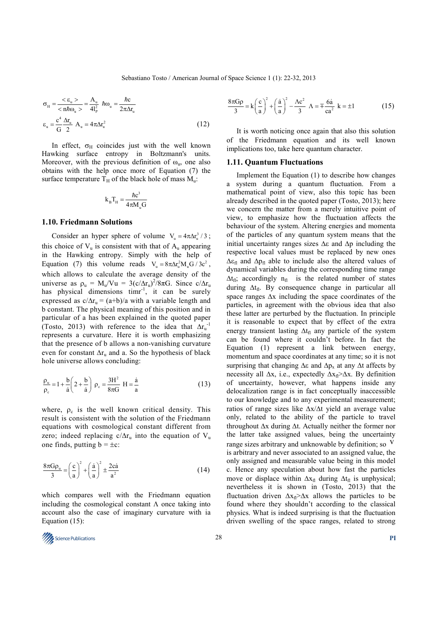$$
\sigma_{\rm H} = \frac{\langle \varepsilon_{\rm u} \rangle}{\langle n \hbar \omega_{\rm u} \rangle} = \frac{A_{\rm u}}{4l_{\rm p}^2} \hbar \omega_{\rm u} = \frac{\hbar c}{2\pi \Delta r_{\rm u}}
$$

$$
\varepsilon_{\rm u} = \frac{c^4}{G} \frac{\Delta r_{\rm u}}{2} \hbar \omega_{\rm u} = 4\pi \Delta r_{\rm u}^2 \tag{12}
$$

In effect,  $\sigma_H$  coincides just with the well known Hawking surface entropy in Boltzmann's units. Moreover, with the previous definition of  $\omega_{\rm u}$ , one also obtains with the help once more of Equation (7) the surface temperature  $T_H$  of the black hole of mass  $M_u$ .

$$
k_{\rm B}T_{\rm H}=\frac{\hbar c^3}{4\pi M_{\rm u}G}
$$

#### **1.10. Friedmann Solutions**

Consider an hyper sphere of volume  $V_u = 4\pi \Delta r_u^3 / 3$ ; this choice of  $V_u$  is consistent with that of  $A_u$  appearing in the Hawking entropy. Simply with the help of Equation (7) this volume reads  $V_u = 8\pi \Delta r_u^2 M_u G / 3c^2$ , which allows to calculate the average density of the universe as  $\rho_u = M_u/Vu = 3(c/\Delta r_u)^2/8\pi G$ . Since  $c/\Delta r_u$ has physical dimensions timr<sup>-1</sup>, it can be surely expressed as  $c/\Delta r_u = (a+b)/a$  with a variable length and b constant. The physical meaning of this position and in particular of a has been explained in the quoted paper (Tosto, 2013) with reference to the idea that  $\Delta r_u^{-1}$ represents a curvature. Here it is worth emphasizing that the presence of b allows a non-vanishing curvature even for constant  $\Delta r_u$  and a. So the hypothesis of black hole universe allows concluding:

$$
\frac{\rho_u}{\rho_c} = 1 + \frac{b}{\dot{a}} \left( 2 + \frac{b}{\dot{a}} \right) \rho_c = \frac{3H^2}{8\pi G} H = \frac{\dot{a}}{a}
$$
 (13)

where,  $\rho_c$  is the well known critical density. This result is consistent with the solution of the Friedmann equations with cosmological constant different from zero; indeed replacing c/ $\Delta r_u$  into the equation of V<sub>u</sub> one finds, putting  $b = \pm c$ :

$$
\frac{8\pi G\rho_u}{3} = \left(\frac{c}{a}\right)^2 + \left(\frac{\dot{a}}{a}\right)^2 \pm \frac{2c\dot{a}}{a^2}
$$
 (14)

which compares well with the Friedmann equation including the cosmological constant  $\Lambda$  once taking into account also the case of imaginary curvature with ia Equation (15):

$$
\frac{8\pi G\rho}{3} = k\left(\frac{c}{a}\right)^2 + \left(\frac{\dot{a}}{a}\right)^2 - \frac{\Lambda c^2}{3} \ \Lambda = \pm \frac{6\dot{a}}{ca^2} \ k = \pm 1 \tag{15}
$$

It is worth noticing once again that also this solution of the Friedmann equation and its well known implications too, take here quantum character.

#### **1.11. Quantum Fluctuations**

Implement the Equation (1) to describe how changes a system during a quantum fluctuation. From a mathematical point of view, also this topic has been already described in the quoted paper (Tosto, 2013); here we concern the matter from a merely intuitive point of view, to emphasize how the fluctuation affects the behaviour of the system. Altering energies and momenta of the particles of any quantum system means that the initial uncertainty ranges sizes ∆ε and ∆p including the respective local values must be replaced by new ones  $\Delta \varepsilon_{\text{fl}}$  and  $\Delta p_{\text{fl}}$  able to include also the altered values of dynamical variables during the corresponding time range  $\Delta t_{fl}$ ; accordingly n<sub>fl</sub> is the related number of states during  $\Delta t_{fl}$ . By consequence change in particular all space ranges ∆x including the space coordinates of the particles, in agreement with the obvious idea that also these latter are perturbed by the fluctuation. In principle it is reasonable to expect that by effect of the extra energy transient lasting  $\Delta t_{fl}$  any particle of the system can be found where it couldn't before. In fact the Equation (1) represent a link between energy, momentum and space coordinates at any time; so it is not surprising that changing  $\Delta \varepsilon$  and  $\Delta p_x$  at any  $\Delta t$  affects by necessity all  $\Delta x$ , i.e., expectedly  $\Delta x$ <sub>fl</sub>> $\Delta x$ . By definition of uncertainty, however, what happens inside any delocalization range is in fact conceptually inaccessible to our knowledge and to any experimental measurement; ratios of range sizes like ∆x/∆t yield an average value only, related to the ability of the particle to travel throughout ∆x during ∆t. Actually neither the former nor the latter take assigned values, being the uncertainty range sizes arbitrary and unknowable by definition; so  $V$ is arbitrary and never associated to an assigned value, the only assigned and measurable value being in this model c. Hence any speculation about how fast the particles move or displace within  $\Delta x_{fl}$  during  $\Delta t_{fl}$  is unphysical; nevertheless it is shown in (Tosto, 2013) that the fluctuation driven  $\Delta x_{\text{fl}} > \Delta x$  allows the particles to be found where they shouldn't according to the classical physics. What is indeed surprising is that the fluctuation driven swelling of the space ranges, related to strong

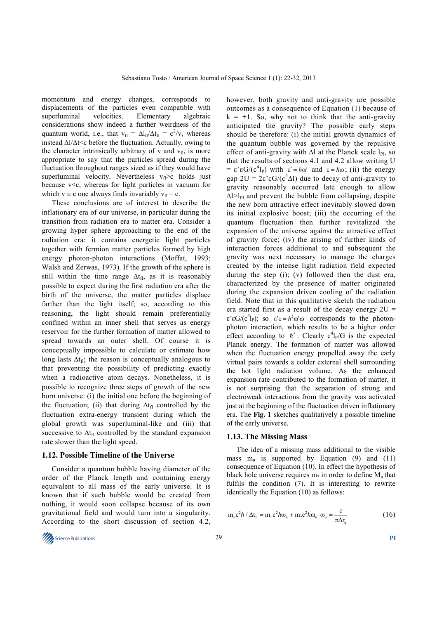momentum and energy changes, corresponds to displacements of the particles even compatible with superluminal velocities. Elementary algebraic considerations show indeed a further weirdness of the quantum world, i.e., that  $v_{\text{fl}} = \Delta l_{\text{fl}}/\Delta t_{\text{fl}} = c^2/v$ , whereas instead ∆l/∆t<c before the fluctuation. Actually, owing to the character intrinsically arbitrary of v and  $v_{\text{fl}}$ , is more appropriate to say that the particles spread during the fluctuation throughout ranges sized as if they would have superluminal velocity. Nevertheless  $v_f > c$  holds just because  $v < c$ , whereas for light particles in vacuum for which  $v \equiv c$  one always finds invariably  $v_f = c$ .

These conclusions are of interest to describe the inflationary era of our universe, in particular during the transition from radiation era to matter era. Consider a growing hyper sphere approaching to the end of the radiation era: it contains energetic light particles together with fermion matter particles formed by high energy photon-photon interactions (Moffat, 1993; Walsh and Zerwas, 1973). If the growth of the sphere is still within the time range  $\Delta t_{fl}$ , as it is reasonably possible to expect during the first radiation era after the birth of the universe, the matter particles displace farther than the light itself; so, according to this reasoning, the light should remain preferentially confined within an inner shell that serves as energy reservoir for the further formation of matter allowed to spread towards an outer shell. Of course it is conceptually impossible to calculate or estimate how long lasts  $\Delta t_{\rm fl}$ ; the reason is conceptually analogous to that preventing the possibility of predicting exactly when a radioactive atom decays. Nonetheless, it is possible to recognize three steps of growth of the new born universe: (i) the initial one before the beginning of the fluctuation; (ii) that during  $\Delta t_{fl}$  controlled by the fluctuation extra-energy transient during which the global growth was superluminal-like and (iii) that successive to  $\Delta t_{\rm fl}$  controlled by the standard expansion rate slower than the light speed.

### **1.12. Possible Timeline of the Universe**

Consider a quantum bubble having diameter of the order of the Planck length and containing energy equivalent to all mass of the early universe. It is known that if such bubble would be created from nothing, it would soon collapse because of its own gravitational field and would turn into a singularity. According to the short discussion of section 4.2, however, both gravity and anti-gravity are possible outcomes as a consequence of Equation (1) because of  $k = \pm 1$ . So, why not to think that the anti-gravity anticipated the gravity? The possible early steps should be therefore: (i) the initial growth dynamics of the quantum bubble was governed by the repulsive effect of anti-gravity with  $\Delta l$  at the Planck scale  $l_{\text{Pl}}$ , so that the results of sections 4.1 and 4.2 allow writing U =  $\varepsilon$ ' $\varepsilon G/(c^4 l_P)$  with  $\varepsilon' = \hbar \omega'$  and  $\varepsilon = \hbar \omega$ ; (ii) the energy gap  $2U = 2\varepsilon \varepsilon G/(c^4 \Delta l)$  due to decay of anti-gravity to gravity reasonably occurred late enough to allow  $\Delta$ l>l<sub>Pl</sub> and prevent the bubble from collapsing, despite the new born attractive effect inevitably slowed down its initial explosive boost; (iii) the occurring of the quantum fluctuation then further revitalized the expansion of the universe against the attractive effect of gravity force; (iv) the arising of further kinds of interaction forces additional to and subsequent the gravity was next necessary to manage the charges created by the intense light radiation field expected during the step (i); (v) followed then the dust era, characterized by the presence of matter originated during the expansion driven cooling of the radiation field. Note that in this qualitative sketch the radiation era started first as a result of the decay energy  $2U =$  $\epsilon$ 'εG/(c<sup>4</sup>l<sub>P</sub>); so  $\epsilon' \epsilon = \hbar^2 \omega' \omega$  corresponds to the photonphoton interaction, which results to be a higher order effect according to  $\hbar^2$ . Clearly  $c^4$ l<sub>P</sub>/G is the expected Planck energy. The formation of matter was allowed when the fluctuation energy propelled away the early virtual pairs towards a colder external shell surrounding the hot light radiation volume. As the enhanced expansion rate contributed to the formation of matter, it is not surprising that the separation of strong and electroweak interactions from the gravity was activated just at the beginning of the fluctuation driven inflationary era. The **Fig. 1** sketches qualitatively a possible timeline of the early universe.

#### **1.13. The Missing Mass**

The idea of a missing mass additional to the visible mass  $m_u$  is supported by Equation (9) and (11) consequence of Equation (10). In effect the hypothesis of black hole universe requires  $m_2$  in order to define  $M_u$  that fulfils the condition (7). It is interesting to rewrite identically the Equation (10) as follows:

$$
m_{u}c^{2}\hbar / \Delta t_{u} = m_{u}c^{2}\hbar \omega_{u} + m_{\gamma}c^{2}\hbar \omega_{u} \omega_{u} = \frac{c}{\pi \Delta r_{u}}
$$
 (16)

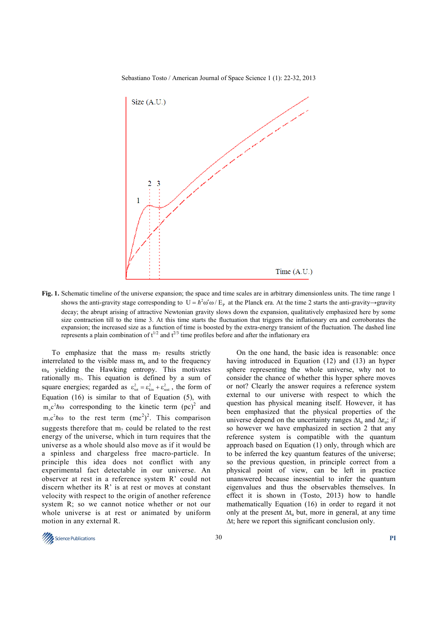Sebastiano Tosto / American Journal of Space Science 1 (1): 22-32, 2013



**Fig. 1.** Schematic timeline of the universe expansion; the space and time scales are in arbitrary dimensionless units. The time range 1 shows the anti-gravity stage corresponding to  $U = \hbar^2 \omega' \omega / E_p$  at the Planck era. At the time 2 starts the anti-gravity→gravity decay; the abrupt arising of attractive Newtonian gravity slows down the expansion, qualitatively emphasized here by some size contraction till to the time 3. At this time starts the fluctuation that triggers the inflationary era and corroborates the expansion; the increased size as a function of time is boosted by the extra-energy transient of the fluctuation. The dashed line represents a plain combination of  $t^{1/2}$  and  $t^{2/3}$  time profiles before and after the inflationary era

To emphasize that the mass  $m_2$  results strictly interrelated to the visible mass  $m<sub>u</sub>$  and to the frequency  $\omega_{\rm u}$  yielding the Hawking entropy. This motivates rationally  $m_2$ . This equation is defined by a sum of square energies; regarded as  $\varepsilon_{\text{tot}}^2 = \varepsilon_{\text{kin}}^2 + \varepsilon_{\text{rest}}^2$ , the form of Equation  $(16)$  is similar to that of Equation  $(5)$ , with  $m_{\mu} c^2 \hbar \omega$  corresponding to the kinetic term (pc)<sup>2</sup> and  $m_2 c^2 \hbar \omega$  to the rest term  $(mc^2)^2$ . This comparison suggests therefore that  $m_2$  could be related to the rest energy of the universe, which in turn requires that the universe as a whole should also move as if it would be a spinless and chargeless free macro-particle. In principle this idea does not conflict with any experimental fact detectable in our universe. An observer at rest in a reference system R' could not discern whether its R' is at rest or moves at constant velocity with respect to the origin of another reference system R; so we cannot notice whether or not our whole universe is at rest or animated by uniform motion in any external R.

On the one hand, the basic idea is reasonable: once having introduced in Equation (12) and (13) an hyper sphere representing the whole universe, why not to consider the chance of whether this hyper sphere moves or not? Clearly the answer requires a reference system external to our universe with respect to which the question has physical meaning itself. However, it has been emphasized that the physical properties of the universe depend on the uncertainty ranges  $\Delta t_u$  and  $\Delta r_u$ ; if so however we have emphasized in section 2 that any reference system is compatible with the quantum approach based on Equation (1) only, through which are to be inferred the key quantum features of the universe; so the previous question, in principle correct from a physical point of view, can be left in practice unanswered because inessential to infer the quantum eigenvalues and thus the observables themselves. In effect it is shown in (Tosto, 2013) how to handle mathematically Equation (16) in order to regard it not only at the present  $\Delta t_n$  but, more in general, at any time ∆t; here we report this significant conclusion only.

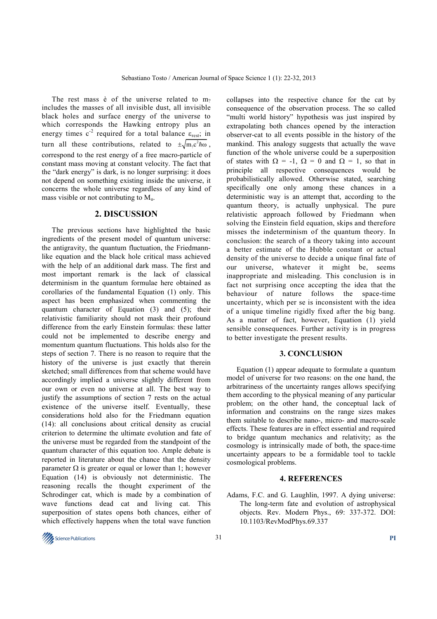The rest mass  $\dot{e}$  of the universe related to m<sub>2</sub> includes the masses of all invisible dust, all invisible black holes and surface energy of the universe to which corresponds the Hawking entropy plus an energy times  $c<sup>2</sup>$  required for a total balance  $\varepsilon_{rest}$ ; in turn all these contributions, related to  $\pm \sqrt{m_{\gamma}c^2}\hbar\omega$ , correspond to the rest energy of a free macro-particle of constant mass moving at constant velocity. The fact that the "dark energy" is dark, is no longer surprising: it does not depend on something existing inside the universe, it concerns the whole universe regardless of any kind of mass visible or not contributing to  $M<sub>u</sub>$ .

# **2. DISCUSSION**

The previous sections have highlighted the basic ingredients of the present model of quantum universe: the antigravity, the quantum fluctuation, the Friedmannlike equation and the black hole critical mass achieved with the help of an additional dark mass. The first and most important remark is the lack of classical determinism in the quantum formulae here obtained as corollaries of the fundamental Equation (1) only. This aspect has been emphasized when commenting the quantum character of Equation (3) and (5); their relativistic familiarity should not mask their profound difference from the early Einstein formulas: these latter could not be implemented to describe energy and momentum quantum fluctuations. This holds also for the steps of section 7. There is no reason to require that the history of the universe is just exactly that therein sketched; small differences from that scheme would have accordingly implied a universe slightly different from our own or even no universe at all. The best way to justify the assumptions of section 7 rests on the actual existence of the universe itself. Eventually, these considerations hold also for the Friedmann equation (14): all conclusions about critical density as crucial criterion to determine the ultimate evolution and fate of the universe must be regarded from the standpoint of the quantum character of this equation too. Ample debate is reported in literature about the chance that the density parameter  $\Omega$  is greater or equal or lower than 1; however Equation (14) is obviously not deterministic. The reasoning recalls the thought experiment of the Schrodinger cat, which is made by a combination of wave functions dead cat and living cat. This superposition of states opens both chances, either of which effectively happens when the total wave function

collapses into the respective chance for the cat by consequence of the observation process. The so called "multi world history" hypothesis was just inspired by extrapolating both chances opened by the interaction observer-cat to all events possible in the history of the mankind. This analogy suggests that actually the wave function of the whole universe could be a superposition of states with  $\Omega = -1$ ,  $\Omega = 0$  and  $\Omega = 1$ , so that in principle all respective consequences would be probabilistically allowed. Otherwise stated, searching specifically one only among these chances in a deterministic way is an attempt that, according to the quantum theory, is actually unphysical. The pure relativistic approach followed by Friedmann when solving the Einstein field equation, skips and therefore misses the indeterminism of the quantum theory. In conclusion: the search of a theory taking into account a better estimate of the Hubble constant or actual density of the universe to decide a unique final fate of our universe, whatever it might be, seems inappropriate and misleading. This conclusion is in fact not surprising once accepting the idea that the behaviour of nature follows the space-time uncertainty, which per se is inconsistent with the idea of a unique timeline rigidly fixed after the big bang. As a matter of fact, however, Equation (1) yield sensible consequences. Further activity is in progress to better investigate the present results.

#### **3. CONCLUSION**

Equation (1) appear adequate to formulate a quantum model of universe for two reasons: on the one hand, the arbitrariness of the uncertainty ranges allows specifying them according to the physical meaning of any particular problem; on the other hand, the conceptual lack of information and constrains on the range sizes makes them suitable to describe nano-, micro- and macro-scale effects. These features are in effect essential and required to bridge quantum mechanics and relativity; as the cosmology is intrinsically made of both, the space-time uncertainty appears to be a formidable tool to tackle cosmological problems.

### **4. REFERENCES**

Adams, F.C. and G. Laughlin, 1997. A dying universe: The long-term fate and evolution of astrophysical objects. Rev. Modern Phys., 69: 337-372. DOI: 10.1103/RevModPhys.69.337